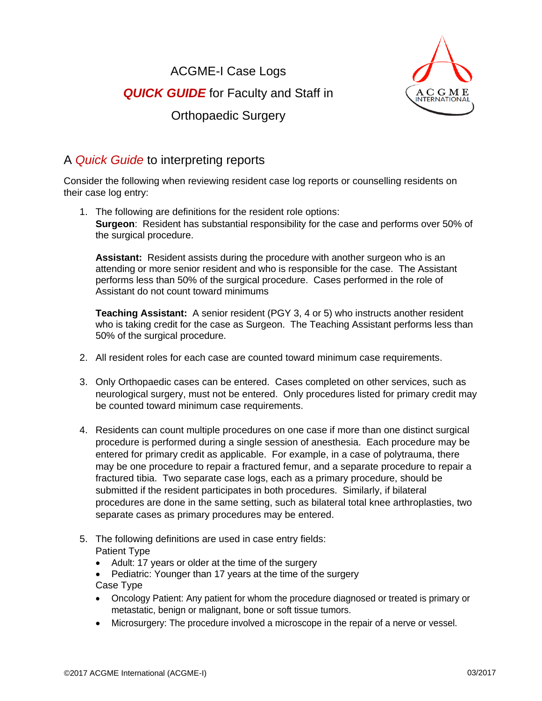ACGME-I Case Logs *QUICK GUIDE* for Faculty and Staff in Orthopaedic Surgery



## A *Quick Guide* to interpreting reports

Consider the following when reviewing resident case log reports or counselling residents on their case log entry:

1. The following are definitions for the resident role options: **Surgeon**: Resident has substantial responsibility for the case and performs over 50% of the surgical procedure.

**Assistant:** Resident assists during the procedure with another surgeon who is an attending or more senior resident and who is responsible for the case. The Assistant performs less than 50% of the surgical procedure. Cases performed in the role of Assistant do not count toward minimums

**Teaching Assistant:** A senior resident (PGY 3, 4 or 5) who instructs another resident who is taking credit for the case as Surgeon. The Teaching Assistant performs less than 50% of the surgical procedure.

- 2. All resident roles for each case are counted toward minimum case requirements.
- 3. Only Orthopaedic cases can be entered. Cases completed on other services, such as neurological surgery, must not be entered. Only procedures listed for primary credit may be counted toward minimum case requirements.
- 4. Residents can count multiple procedures on one case if more than one distinct surgical procedure is performed during a single session of anesthesia. Each procedure may be entered for primary credit as applicable. For example, in a case of polytrauma, there may be one procedure to repair a fractured femur, and a separate procedure to repair a fractured tibia. Two separate case logs, each as a primary procedure, should be submitted if the resident participates in both procedures. Similarly, if bilateral procedures are done in the same setting, such as bilateral total knee arthroplasties, two separate cases as primary procedures may be entered.
- 5. The following definitions are used in case entry fields: Patient Type
	- Adult: 17 years or older at the time of the surgery
	- Pediatric: Younger than 17 years at the time of the surgery Case Type
	- Oncology Patient: Any patient for whom the procedure diagnosed or treated is primary or metastatic, benign or malignant, bone or soft tissue tumors.
	- Microsurgery: The procedure involved a microscope in the repair of a nerve or vessel.